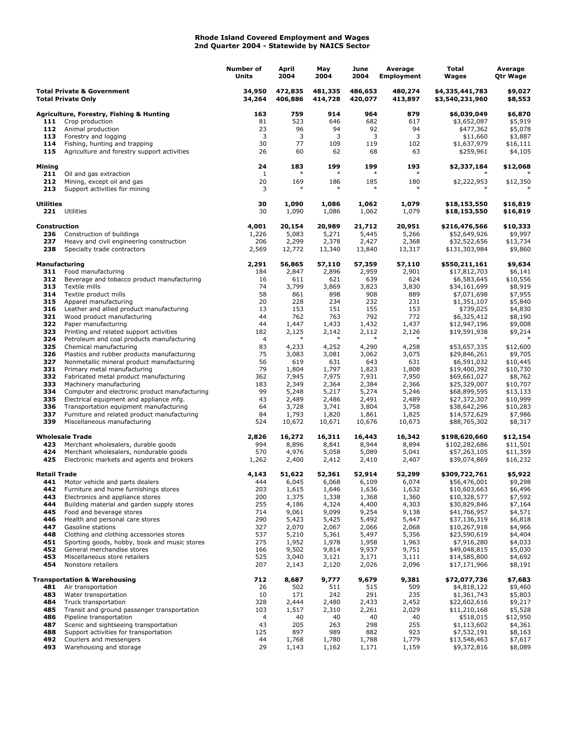## **Rhode Island Covered Employment and Wages 2nd Quarter 2004 - Statewide by NAICS Sector**

|                                                                    |                                                                                          | <b>Number of</b><br>Units | April<br>2004      | May<br>2004        | June<br>2004       | Average<br><b>Employment</b> | Total<br>Wages                     | Average<br>Qtr Wage  |
|--------------------------------------------------------------------|------------------------------------------------------------------------------------------|---------------------------|--------------------|--------------------|--------------------|------------------------------|------------------------------------|----------------------|
| <b>Total Private &amp; Government</b><br><b>Total Private Only</b> |                                                                                          | 34,950<br>34,264          | 472,835<br>406,886 | 481,335<br>414,728 | 486,653<br>420,077 | 480,274<br>413,897           | \$4,335,441,783<br>\$3,540,231,960 | \$9,027<br>\$8,553   |
|                                                                    | <b>Agriculture, Forestry, Fishing &amp; Hunting</b>                                      | 163                       | 759                | 914                | 964                | 879                          | \$6,039,049                        | \$6,870              |
| 111                                                                | Crop production                                                                          | 81                        | 523                | 646                | 682                | 617                          | \$3,652,087                        | \$5,919              |
| 112                                                                | Animal production                                                                        | 23                        | 96                 | 94                 | 92                 | 94                           | \$477,362                          | \$5,078              |
| 113                                                                | Forestry and logging                                                                     | 3                         | 3                  | 3                  | 3                  | 3                            | \$11,660                           | \$3,887              |
| 114                                                                | Fishing, hunting and trapping                                                            | 30                        | 77                 | 109                | 119                | 102                          | \$1,637,979                        | \$16,111             |
| 115                                                                | Agriculture and forestry support activities                                              | 26                        | 60                 | 62                 | 68                 | 63                           | \$259,961                          | \$4,105              |
| <b>Mining</b><br>211                                               | Oil and gas extraction                                                                   | 24<br>1                   | 183                | 199                | 199<br>$\ast$      | 193                          | \$2,337,184                        | \$12,068             |
| 212<br>213                                                         | Mining, except oil and gas<br>Support activities for mining                              | 20<br>3                   | 169<br>$\ast$      | 186<br>$\ast$      | 185<br>$\ast$      | 180<br>$\ast$                | \$2,222,953                        | \$12,350             |
| <b>Utilities</b>                                                   |                                                                                          | 30                        | 1,090              | 1,086              | 1,062              | 1,079                        | \$18,153,550                       | \$16,819             |
|                                                                    | 221 Utilities                                                                            | 30                        | 1,090              | 1,086              | 1,062              | 1,079                        | \$18,153,550                       | \$16,819             |
| Construction<br>236                                                | Construction of buildings                                                                | 4,001<br>1,226            | 20,154<br>5,083    | 20,989<br>5,271    | 21,712<br>5,445    | 20,951<br>5,266              | \$216,476,566<br>\$52,649,926      | \$10,333<br>\$9,997  |
| 237                                                                | Heavy and civil engineering construction                                                 | 206                       | 2,299              | 2,378              | 2,427              | 2,368                        | \$32,522,656                       | \$13,734             |
| 238                                                                | Specialty trade contractors                                                              | 2,569                     | 12,772             | 13,340             | 13,840             | 13,317                       | \$131,303,984                      | \$9,860              |
| <b>Manufacturing</b>                                               |                                                                                          | 2,291                     | 56,865             | 57,110             | 57,359             | 57,110                       | \$550,211,161                      | \$9,634              |
| 311                                                                | Food manufacturing                                                                       | 184                       | 2,847              | 2,896              | 2,959              | 2,901                        | \$17,812,703                       | \$6,141              |
| 312                                                                | Beverage and tobacco product manufacturing                                               | 16                        | 611                | 621                | 639                | 624                          | \$6,583,645                        | \$10,556             |
| 313<br>314                                                         | Textile mills<br>Textile product mills                                                   | 74<br>58                  | 3,799<br>861       | 3,869<br>898       | 3,823<br>908       | 3,830<br>889                 | \$34,161,699<br>\$7,071,698        | \$8,919<br>\$7,955   |
| 315                                                                | Apparel manufacturing                                                                    | 20                        | 228                | 234                | 232                | 231                          | \$1,351,107                        | \$5,840              |
| 316                                                                | Leather and allied product manufacturing                                                 | 13                        | 153                | 151                | 155                | 153                          | \$739,025                          | \$4,830              |
| 321                                                                | Wood product manufacturing                                                               | 44                        | 762                | 763                | 792                | 772                          | \$6,325,412                        | \$8,190              |
| 322                                                                | Paper manufacturing                                                                      | 44                        | 1,447              | 1,433              | 1,432              | 1,437                        | \$12,947,196                       | \$9,008              |
| 323                                                                | Printing and related support activities                                                  | 182                       | 2,125              | 2,142              | 2,112              | 2,126                        | \$19,591,938                       | \$9,214              |
| 324                                                                | Petroleum and coal products manufacturing                                                | $\overline{4}$            |                    |                    |                    |                              |                                    |                      |
| 325                                                                | Chemical manufacturing                                                                   | 83                        | 4,233              | 4,252              | 4,290              | 4,258                        | \$53,657,335                       | \$12,600             |
| 326                                                                | Plastics and rubber products manufacturing                                               | 75                        | 3,083              | 3,081              | 3,062              | 3,075                        | \$29,846,261                       | \$9,705              |
| 327                                                                | Nonmetallic mineral product manufacturing                                                | 56                        | 619                | 631                | 643                | 631                          | \$6,591,032                        | \$10,445             |
| 331                                                                | Primary metal manufacturing                                                              | 79                        | 1,804              | 1,797              | 1,823              | 1,808                        | \$19,400,392                       | \$10,730             |
| 332<br>333                                                         | Fabricated metal product manufacturing                                                   | 362                       | 7,945              | 7,975              | 7,931              | 7,950                        | \$69,661,027                       | \$8,762              |
| 334                                                                | Machinery manufacturing<br>Computer and electronic product manufacturing                 | 183<br>99                 | 2,349<br>5,248     | 2,364<br>5,217     | 2,384<br>5,274     | 2,366<br>5,246               | \$25,329,007<br>\$68,899,595       | \$10,707<br>\$13,133 |
| 335                                                                | Electrical equipment and appliance mfg.                                                  | 43                        | 2,489              | 2,486              | 2,491              | 2,489                        | \$27,372,307                       | \$10,999             |
| 336                                                                | Transportation equipment manufacturing                                                   | 64                        | 3,728              | 3,741              | 3,804              | 3,758                        | \$38,642,296                       | \$10,283             |
| 337                                                                | Furniture and related product manufacturing                                              | 84                        | 1,793              | 1,820              | 1,861              | 1,825                        | \$14,572,629                       | \$7,986              |
| 339                                                                | Miscellaneous manufacturing                                                              | 524                       | 10,672             | 10,671             | 10,676             | 10,673                       | \$88,765,302                       | \$8,317              |
| <b>Wholesale Trade</b>                                             |                                                                                          | 2,826                     | 16,272             | 16,311             | 16,443             | 16,342                       | \$198,620,660                      | \$12,154             |
| 423                                                                | Merchant wholesalers, durable goods                                                      | 994                       | 8,896              | 8,841              | 8,944              | 8,894                        | \$102,282,686                      | \$11,501             |
| 424<br>425                                                         | Merchant wholesalers, nondurable goods<br>Electronic markets and agents and brokers      | 570<br>1,262              | 4,976<br>2,400     | 5,058<br>2,412     | 5,089<br>2,410     | 5,041<br>2,407               | \$57,263,105<br>\$39,074,869       | \$11,359<br>\$16,232 |
| <b>Retail Trade</b>                                                |                                                                                          | 4,143                     | 51,622             | 52,361             | 52,914             | 52,299                       | \$309,722,761                      | \$5,922              |
| 441                                                                | Motor vehicle and parts dealers                                                          | 444                       | 6,045              | 6,068              | 6,109              | 6,074                        | \$56,476,001                       | \$9,298              |
| 442                                                                | Furniture and home furnishings stores                                                    | 203                       | 1,615              | 1,646              | 1,636              | 1,632                        | \$10,603,663                       | \$6,496              |
| 443                                                                | Electronics and appliance stores                                                         | 200                       | 1,375              | 1,338              | 1,368              | 1,360                        | \$10,328,577                       | \$7,592              |
| 444                                                                | Building material and garden supply stores                                               | 255                       | 4,186              | 4,324              | 4,400              | 4,303                        | \$30,829,846                       | \$7,164              |
| 445                                                                | Food and beverage stores                                                                 | 714                       | 9,061              | 9,099              | 9,254              | 9,138                        | \$41,766,957                       | \$4,571              |
| 446                                                                | Health and personal care stores                                                          | 290                       | 5,423              | 5,425              | 5,492              | 5,447                        | \$37,136,319                       | \$6,818              |
| 447                                                                | Gasoline stations                                                                        | 327                       | 2,070              | 2,067              | 2,066              | 2,068                        | \$10,267,918                       | \$4,966              |
| 448<br>451                                                         | Clothing and clothing accessories stores<br>Sporting goods, hobby, book and music stores | 537<br>275                | 5,210<br>1,952     | 5,361<br>1,978     | 5,497<br>1,958     | 5,356<br>1,963               | \$23,590,619<br>\$7,916,280        | \$4,404<br>\$4,033   |
| 452                                                                | General merchandise stores                                                               | 166                       | 9,502              | 9,814              | 9,937              | 9,751                        | \$49,048,815                       | \$5,030              |
| 453                                                                | Miscellaneous store retailers                                                            | 525                       | 3,040              | 3,121              | 3,171              | 3,111                        | \$14,585,800                       | \$4,692              |
| 454                                                                | Nonstore retailers                                                                       | 207                       | 2,143              | 2,120              | 2,026              | 2,096                        | \$17,171,966                       | \$8,191              |
|                                                                    | <b>Transportation &amp; Warehousing</b>                                                  | 712                       | 8,687              | 9,777              | 9,679              | 9,381                        | \$72,077,736                       | \$7,683              |
| 481                                                                | Air transportation                                                                       | 26                        | 502                | 511                | 515                | 509                          | \$4,818,122                        | \$9,460              |
| 483                                                                | Water transportation                                                                     | 10                        | 171                | 242                | 291                | 235                          | \$1,361,743                        | \$5,803              |
| 484                                                                | Truck transportation                                                                     | 328                       | 2,444              | 2,480              | 2,433              | 2,452                        | \$22,602,616                       | \$9,217              |
| 485                                                                | Transit and ground passenger transportation                                              | 103                       | 1,517              | 2,310              | 2,261              | 2,029                        | \$11,210,168                       | \$5,528              |
| 486                                                                | Pipeline transportation                                                                  | 4                         | 40                 | 40                 | 40                 | 40                           | \$518,015                          | \$12,950             |
| 487<br>488                                                         | Scenic and sightseeing transportation<br>Support activities for transportation           | 43<br>125                 | 205<br>897         | 263<br>989         | 298<br>882         | 255<br>923                   | \$1,113,602                        | \$4,361              |
| 492                                                                | Couriers and messengers                                                                  | 44                        | 1,768              | 1,780              | 1,788              | 1,779                        | \$7,532,191<br>\$13,548,463        | \$8,163<br>\$7,617   |
| 493                                                                | Warehousing and storage                                                                  | 29                        | 1,143              | 1,162              | 1,171              | 1,159                        | \$9,372,816                        | \$8,089              |
|                                                                    |                                                                                          |                           |                    |                    |                    |                              |                                    |                      |